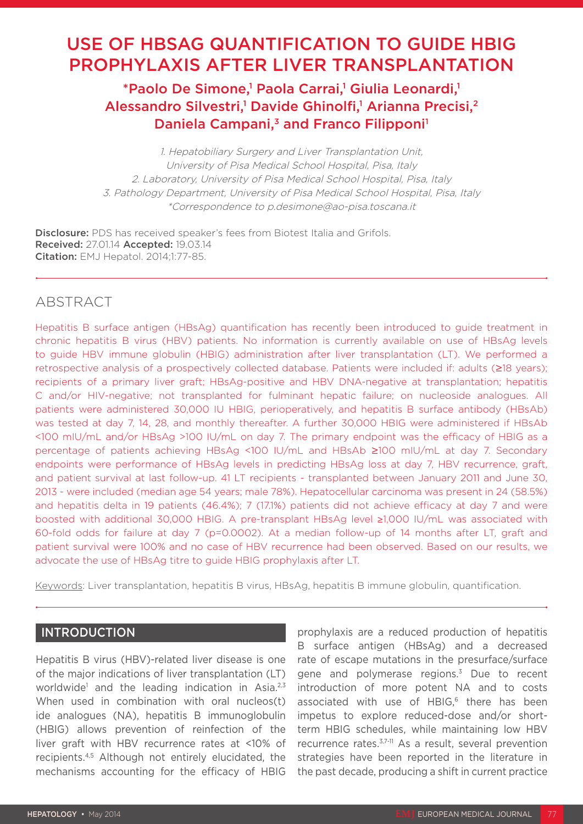# USE OF HBSAG QUANTIFICATION TO GUIDE HBIG PROPHYLAXIS AFTER LIVER TRANSPLANTATION

## \*Paolo De Simone,<sup>1</sup> Paola Carrai,<sup>1</sup> Giulia Leonardi,<sup>1</sup> Alessandro Silvestri,<sup>1</sup> Davide Ghinolfi,<sup>1</sup> Arianna Precisi,<sup>2</sup> Daniela Campani,<sup>3</sup> and Franco Filipponi<sup>1</sup>

1. Hepatobiliary Surgery and Liver Transplantation Unit, University of Pisa Medical School Hospital, Pisa, Italy 2. Laboratory, University of Pisa Medical School Hospital, Pisa, Italy 3. Pathology Department, University of Pisa Medical School Hospital, Pisa, Italy \*Correspondence to p.desimone@ao-pisa.toscana.it

Disclosure: PDS has received speaker's fees from Biotest Italia and Grifols. Received: 27.01.14 Accepted: 19.03.14 **Citation:** EMJ Hepatol. 2014;1:77-85.

## ABSTRACT

Hepatitis B surface antigen (HBsAg) quantification has recently been introduced to guide treatment in chronic hepatitis B virus (HBV) patients. No information is currently available on use of HBsAg levels to guide HBV immune globulin (HBIG) administration after liver transplantation (LT). We performed a retrospective analysis of a prospectively collected database. Patients were included if: adults (≥18 years); recipients of a primary liver graft; HBsAg-positive and HBV DNA-negative at transplantation; hepatitis C and/or HIV-negative; not transplanted for fulminant hepatic failure; on nucleoside analogues. All patients were administered 30,000 IU HBIG, perioperatively, and hepatitis B surface antibody (HBsAb) was tested at day 7, 14, 28, and monthly thereafter. A further 30,000 HBIG were administered if HBsAb <100 mIU/mL and/or HBsAg >100 IU/mL on day 7. The primary endpoint was the efficacy of HBIG as a percentage of patients achieving HBsAg <100 IU/mL and HBsAb ≥100 mIU/mL at day 7. Secondary endpoints were performance of HBsAg levels in predicting HBsAg loss at day 7, HBV recurrence, graft, and patient survival at last follow-up. 41 LT recipients - transplanted between January 2011 and June 30, 2013 - were included (median age 54 years; male 78%). Hepatocellular carcinoma was present in 24 (58.5%) and hepatitis delta in 19 patients (46.4%); 7 (17.1%) patients did not achieve efficacy at day 7 and were boosted with additional 30,000 HBIG. A pre-transplant HBsAg level ≥1,000 IU/mL was associated with 60-fold odds for failure at day 7 (p=0.0002). At a median follow-up of 14 months after LT, graft and patient survival were 100% and no case of HBV recurrence had been observed. Based on our results, we advocate the use of HBsAg titre to guide HBIG prophylaxis after LT.

Keywords: Liver transplantation, hepatitis B virus, HBsAg, hepatitis B immune globulin, quantification.

## INTRODUCTION

Hepatitis B virus (HBV)-related liver disease is one of the major indications of liver transplantation (LT) worldwide<sup>1</sup> and the leading indication in Asia.<sup>2,3</sup> When used in combination with oral nucleos(t) ide analogues (NA), hepatitis B immunoglobulin (HBIG) allows prevention of reinfection of the liver graft with HBV recurrence rates at <10% of recipients.4,5 Although not entirely elucidated, the mechanisms accounting for the efficacy of HBIG

prophylaxis are a reduced production of hepatitis B surface antigen (HBsAg) and a decreased rate of escape mutations in the presurface/surface gene and polymerase regions.<sup>3</sup> Due to recent introduction of more potent NA and to costs associated with use of HBIG.<sup>6</sup> there has been impetus to explore reduced-dose and/or shortterm HBIG schedules, while maintaining low HBV recurrence rates.3,7-11 As a result, several prevention strategies have been reported in the literature in the past decade, producing a shift in current practice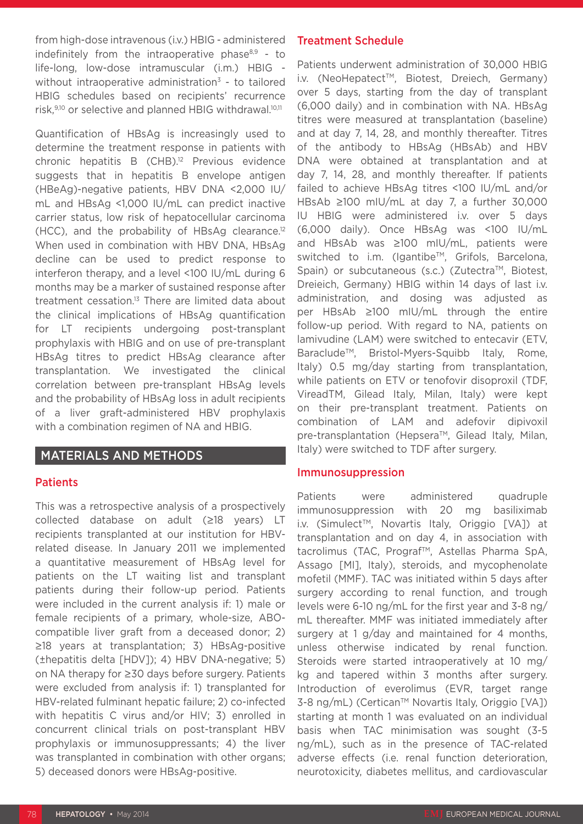from high-dose intravenous (i.v.) HBIG - administered indefinitely from the intraoperative phase $8,9$  - to life-long, low-dose intramuscular (i.m.) HBIG without intraoperative administration<sup>3</sup> - to tailored HBIG schedules based on recipients' recurrence risk,<sup>9,10</sup> or selective and planned HBIG withdrawal.<sup>10,11</sup>

Quantification of HBsAg is increasingly used to determine the treatment response in patients with chronic hepatitis B (CHB).12 Previous evidence suggests that in hepatitis B envelope antigen (HBeAg)-negative patients, HBV DNA <2,000 IU/ mL and HBsAg <1,000 IU/mL can predict inactive carrier status, low risk of hepatocellular carcinoma (HCC), and the probability of HBsAg clearance.12 When used in combination with HBV DNA, HBsAg decline can be used to predict response to interferon therapy, and a level <100 IU/mL during 6 months may be a marker of sustained response after treatment cessation.<sup>13</sup> There are limited data about the clinical implications of HBsAg quantification for LT recipients undergoing post-transplant prophylaxis with HBIG and on use of pre-transplant HBsAg titres to predict HBsAg clearance after transplantation. We investigated the clinical correlation between pre-transplant HBsAg levels and the probability of HBsAg loss in adult recipients of a liver graft-administered HBV prophylaxis with a combination regimen of NA and HBIG.

## MATERIALS AND METHODS

#### Patients

This was a retrospective analysis of a prospectively collected database on adult (≥18 years) LT recipients transplanted at our institution for HBVrelated disease. In January 2011 we implemented a quantitative measurement of HBsAg level for patients on the LT waiting list and transplant patients during their follow-up period. Patients were included in the current analysis if: 1) male or female recipients of a primary, whole-size, ABOcompatible liver graft from a deceased donor; 2) ≥18 years at transplantation; 3) HBsAg-positive (±hepatitis delta [HDV]); 4) HBV DNA-negative; 5) on NA therapy for ≥30 days before surgery. Patients were excluded from analysis if: 1) transplanted for HBV-related fulminant hepatic failure; 2) co-infected with hepatitis C virus and/or HIV; 3) enrolled in concurrent clinical trials on post-transplant HBV prophylaxis or immunosuppressants; 4) the liver was transplanted in combination with other organs; 5) deceased donors were HBsAg-positive.

## Treatment Schedule

Patients underwent administration of 30,000 HBIG i.v. (NeoHepatect™, Biotest, Dreiech, Germany) over 5 days, starting from the day of transplant (6,000 daily) and in combination with NA. HBsAg titres were measured at transplantation (baseline) and at day 7, 14, 28, and monthly thereafter. Titres of the antibody to HBsAg (HBsAb) and HBV DNA were obtained at transplantation and at day 7, 14, 28, and monthly thereafter. If patients failed to achieve HBsAg titres <100 IU/mL and/or HBsAb ≥100 mIU/mL at day 7, a further 30,000 IU HBIG were administered i.v. over 5 days (6,000 daily). Once HBsAg was <100 IU/mL and HBsAb was ≥100 mIU/mL, patients were switched to i.m. (Igantibe™, Grifols, Barcelona, Spain) or subcutaneous (s.c.) (Zutectra™, Biotest, Dreieich, Germany) HBIG within 14 days of last i.v. administration, and dosing was adjusted as per HBsAb ≥100 mIU/mL through the entire follow-up period. With regard to NA, patients on lamivudine (LAM) were switched to entecavir (ETV, Baraclude<sup>™</sup>, Bristol-Myers-Squibb Italy, Rome, Italy) 0.5 mg/day starting from transplantation, while patients on ETV or tenofovir disoproxil (TDF, VireadTM, Gilead Italy, Milan, Italy) were kept on their pre-transplant treatment. Patients on combination of LAM and adefovir dipivoxil pre-transplantation (Hepsera™, Gilead Italy, Milan, Italy) were switched to TDF after surgery.

#### Immunosuppression

Patients were administered quadruple immunosuppression with 20 mg basiliximab i.v. (Simulect<sup>™</sup>, Novartis Italy, Origgio [VA]) at transplantation and on day 4, in association with tacrolimus (TAC, Prograf<sup>™</sup>, Astellas Pharma SpA. Assago [MI], Italy), steroids, and mycophenolate mofetil (MMF). TAC was initiated within 5 days after surgery according to renal function, and trough levels were 6-10 ng/mL for the first year and 3-8 ng/ mL thereafter. MMF was initiated immediately after surgery at 1 g/day and maintained for 4 months, unless otherwise indicated by renal function. Steroids were started intraoperatively at 10 mg/ kg and tapered within 3 months after surgery. Introduction of everolimus (EVR, target range 3-8 ng/mL) (Certican™ Novartis Italy, Origgio [VA]) starting at month 1 was evaluated on an individual basis when TAC minimisation was sought (3-5 ng/mL), such as in the presence of TAC-related adverse effects (i.e. renal function deterioration, neurotoxicity, diabetes mellitus, and cardiovascular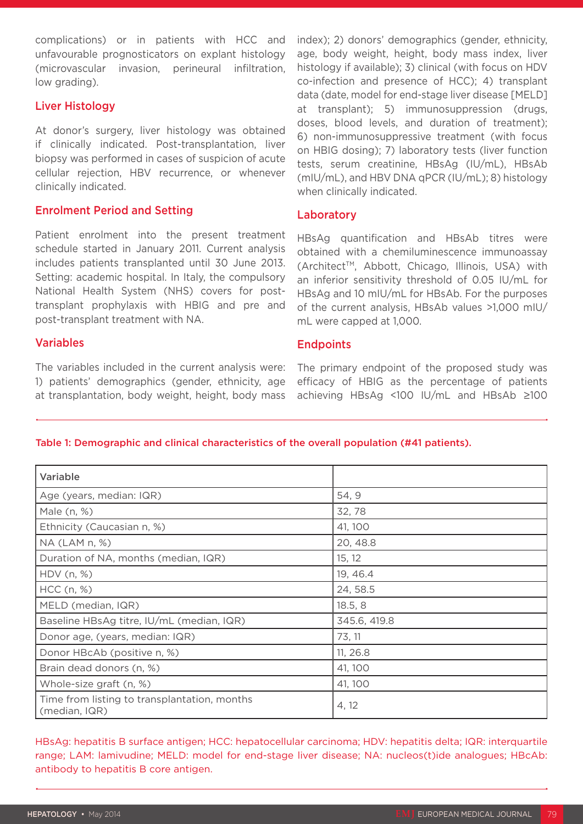complications) or in patients with HCC and unfavourable prognosticators on explant histology (microvascular invasion, perineural infiltration, low grading).

## Liver Histology

At donor's surgery, liver histology was obtained if clinically indicated. Post-transplantation, liver biopsy was performed in cases of suspicion of acute cellular rejection, HBV recurrence, or whenever clinically indicated.

## Enrolment Period and Setting

Patient enrolment into the present treatment schedule started in January 2011. Current analysis includes patients transplanted until 30 June 2013. Setting: academic hospital. In Italy, the compulsory National Health System (NHS) covers for posttransplant prophylaxis with HBIG and pre and post-transplant treatment with NA.

## Variables

The variables included in the current analysis were: 1) patients' demographics (gender, ethnicity, age at transplantation, body weight, height, body mass

index); 2) donors' demographics (gender, ethnicity, age, body weight, height, body mass index, liver histology if available); 3) clinical (with focus on HDV co-infection and presence of HCC); 4) transplant data (date, model for end-stage liver disease [MELD] at transplant); 5) immunosuppression (drugs, doses, blood levels, and duration of treatment); 6) non-immunosuppressive treatment (with focus on HBIG dosing); 7) laboratory tests (liver function tests, serum creatinine, HBsAg (IU/mL), HBsAb (mIU/mL), and HBV DNA qPCR (IU/mL); 8) histology when clinically indicated.

## Laboratory

HBsAg quantification and HBsAb titres were obtained with a chemiluminescence immunoassay (Architect™, Abbott, Chicago, Illinois, USA) with an inferior sensitivity threshold of 0.05 IU/mL for HBsAg and 10 mIU/mL for HBsAb. For the purposes of the current analysis, HBsAb values >1,000 mIU/ mL were capped at 1,000.

## **Endpoints**

The primary endpoint of the proposed study was efficacy of HBIG as the percentage of patients achieving HBsAg <100 IU/mL and HBsAb ≥100

## Table 1: Demographic and clinical characteristics of the overall population (#41 patients).

| Variable                                                      |              |
|---------------------------------------------------------------|--------------|
| Age (years, median: IQR)                                      | 54, 9        |
| Male (n, %)                                                   | 32,78        |
| Ethnicity (Caucasian n, %)                                    | 41, 100      |
| $NA$ (LAM $n, \%$ )                                           | 20, 48.8     |
| Duration of NA, months (median, IQR)                          | 15, 12       |
| HDV(n, %)                                                     | 19, 46.4     |
| HCC (n, %)                                                    | 24, 58.5     |
| MELD (median, IQR)                                            | 18.5, 8      |
| Baseline HBsAg titre, IU/mL (median, IQR)                     | 345.6, 419.8 |
| Donor age, (years, median: IQR)                               | 73, 11       |
| Donor HBcAb (positive n, %)                                   | 11, 26.8     |
| Brain dead donors (n, %)                                      | 41, 100      |
| Whole-size graft (n, %)                                       | 41, 100      |
| Time from listing to transplantation, months<br>(median, IQR) | 4, 12        |

HBsAg: hepatitis B surface antigen; HCC: hepatocellular carcinoma; HDV: hepatitis delta; IQR: interquartile range; LAM: lamivudine; MELD: model for end-stage liver disease; NA: nucleos(t)ide analogues; HBcAb: antibody to hepatitis B core antigen.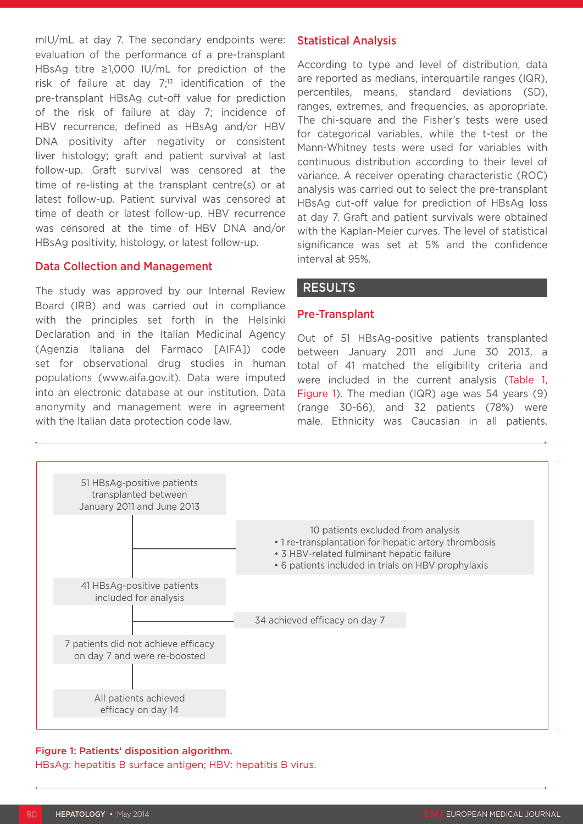mIU/mL at day 7. The secondary endpoints were: evaluation of the performance of a pre-transplant HBsAg titre ≥1,000 IU/mL for prediction of the risk of failure at day  $7<sup>13</sup>$  identification of the pre-transplant HBsAg cut-off value for prediction of the risk of failure at day 7; incidence of HBV recurrence, defined as HBsAg and/or HBV DNA positivity after negativity or consistent liver histology; graft and patient survival at last follow-up. Graft survival was censored at the time of re-listing at the transplant centre(s) or at latest follow-up. Patient survival was censored at time of death or latest follow-up. HBV recurrence was censored at the time of HBV DNA and/or HBsAg positivity, histology, or latest follow-up.

#### Data Collection and Management

The study was approved by our Internal Review Board (IRB) and was carried out in compliance with the principles set forth in the Helsinki Declaration and in the Italian Medicinal Agency (Agenzia Italiana del Farmaco [AIFA]) code set for observational drug studies in human populations (www.aifa.gov.it). Data were imputed into an electronic database at our institution. Data anonymity and management were in agreement with the Italian data protection code law.

### Statistical Analysis

According to type and level of distribution, data are reported as medians, interquartile ranges (IQR), percentiles, means, standard deviations (SD), ranges, extremes, and frequencies, as appropriate. The chi-square and the Fisher's tests were used for categorical variables, while the t-test or the Mann-Whitney tests were used for variables with continuous distribution according to their level of variance. A receiver operating characteristic (ROC) analysis was carried out to select the pre-transplant HBsAg cut-off value for prediction of HBsAg loss at day 7. Graft and patient survivals were obtained with the Kaplan-Meier curves. The level of statistical significance was set at 5% and the confidence interval at 95%.

#### RESULTS

#### Pre-Transplant

Out of 51 HBsAg-positive patients transplanted between January 2011 and June 30 2013, a total of 41 matched the eligibility criteria and were included in the current analysis (Table 1, Figure 1). The median (IQR) age was 54 years (9) (range 30-66), and 32 patients (78%) were male. Ethnicity was Caucasian in all patients.



#### Figure 1: Patients' disposition algorithm.

HBsAg: hepatitis B surface antigen; HBV: hepatitis B virus.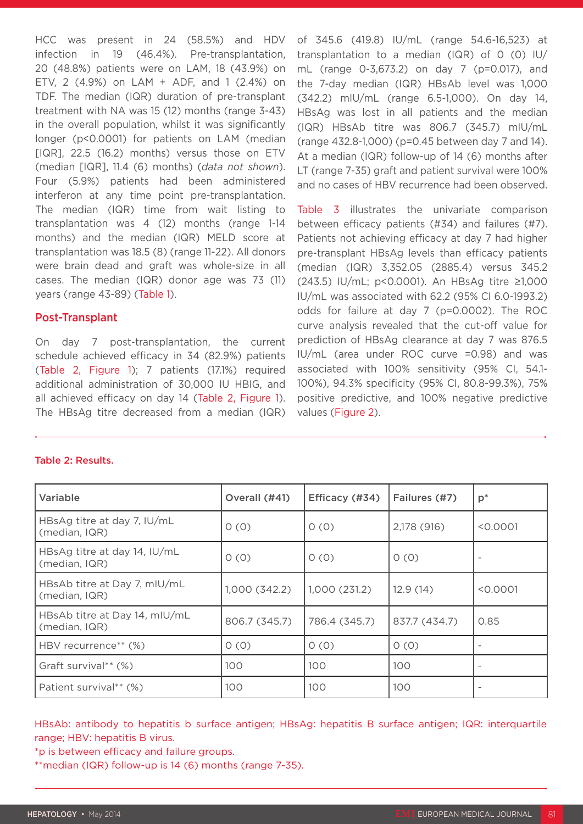HCC was present in 24 (58.5%) and HDV infection in 19 (46.4%). Pre-transplantation, 20 (48.8%) patients were on LAM, 18 (43.9%) on ETV, 2 (4.9%) on LAM + ADF, and 1 (2.4%) on TDF. The median (IQR) duration of pre-transplant treatment with NA was 15 (12) months (range 3-43) in the overall population, whilst it was significantly longer (p<0.0001) for patients on LAM (median [IQR], 22.5 (16.2) months) versus those on ETV (median [IQR], 11.4 (6) months) (*data not shown*). Four (5.9%) patients had been administered interferon at any time point pre-transplantation. The median (IQR) time from wait listing to transplantation was 4 (12) months (range 1-14 months) and the median (IQR) MELD score at transplantation was 18.5 (8) (range 11-22). All donors were brain dead and graft was whole-size in all cases. The median (IQR) donor age was 73 (11) years (range 43-89) (Table 1).

### Post-Transplant

On day 7 post-transplantation, the current schedule achieved efficacy in 34 (82.9%) patients (Table 2, Figure 1); 7 patients (17.1%) required additional administration of 30,000 IU HBIG, and all achieved efficacy on day 14 (Table 2, Figure 1). The HBsAg titre decreased from a median (IQR) of 345.6 (419.8) IU/mL (range 54.6-16,523) at transplantation to a median (IQR) of  $0$  (0) IU/ mL (range 0-3,673.2) on day 7 (p=0.017), and the 7-day median (IQR) HBsAb level was 1,000 (342.2) mIU/mL (range 6.5-1,000). On day 14, HBsAg was lost in all patients and the median (IQR) HBsAb titre was 806.7 (345.7) mIU/mL (range 432.8-1,000) (p=0.45 between day 7 and 14). At a median (IQR) follow-up of 14 (6) months after LT (range 7-35) graft and patient survival were 100% and no cases of HBV recurrence had been observed.

Table 3 illustrates the univariate comparison between efficacy patients (#34) and failures (#7). Patients not achieving efficacy at day 7 had higher pre-transplant HBsAg levels than efficacy patients (median (IQR) 3,352.05 (2885.4) versus 345.2 (243.5) IU/mL; p<0.0001). An HBsAg titre ≥1,000 IU/mL was associated with 62.2 (95% CI 6.0-1993.2) odds for failure at day 7 (p=0.0002). The ROC curve analysis revealed that the cut-off value for prediction of HBsAg clearance at day 7 was 876.5 IU/mL (area under ROC curve =0.98) and was associated with 100% sensitivity (95% CI, 54.1- 100%), 94.3% specificity (95% CI, 80.8-99.3%), 75% positive predictive, and 100% negative predictive values (Figure 2).

#### Table 2: Results.

| Variable                                       | Overall (#41) | Efficacy (#34) | Failures (#7) | $p^*$    |
|------------------------------------------------|---------------|----------------|---------------|----------|
| HBsAg titre at day 7, IU/mL<br>(median, IQR)   | 0(0)          | 0(0)           | 2,178 (916)   | < 0.0001 |
| HBsAg titre at day 14, IU/mL<br>(median, IQR)  | 0(0)          | 0(0)           | 0(0)          |          |
| HBsAb titre at Day 7, mIU/mL<br>(median, IQR)  | 1,000(342.2)  | 1,000 (231.2)  | 12.9(14)      | < 0.0001 |
| HBsAb titre at Day 14, mIU/mL<br>(median, IQR) | 806.7 (345.7) | 786.4 (345.7)  | 837.7 (434.7) | 0.85     |
| HBV recurrence** (%)                           | 0(0)          | 0(0)           | 0(0)          |          |
| Graft survival** (%)                           | 100           | 100            | 100           |          |
| Patient survival** (%)                         | 100           | 100            | 100           |          |

HBsAb: antibody to hepatitis b surface antigen; HBsAg: hepatitis B surface antigen; IQR: interquartile range; HBV: hepatitis B virus.

\*p is between efficacy and failure groups.

\*\*median (IQR) follow-up is 14 (6) months (range 7-35).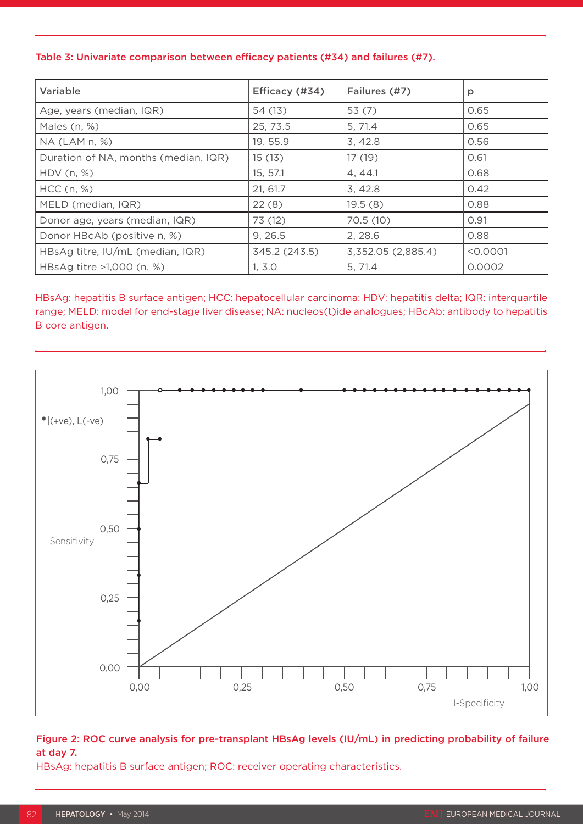### Table 3: Univariate comparison between efficacy patients (#34) and failures (#7).

| Variable                             | Efficacy (#34) | Failures (#7)      | p        |
|--------------------------------------|----------------|--------------------|----------|
| Age, years (median, IQR)             | 54 (13)        | 53(7)              | 0.65     |
| Males (n, %)                         | 25, 73.5       | 5, 71.4            | 0.65     |
| $NA$ (LAM $n, %$ )                   | 19, 55.9       | 3,42.8             | 0.56     |
| Duration of NA, months (median, IQR) | 15(13)         | 17 (19)            | 0.61     |
| HDV (n, %)                           | 15, 57.1       | 4, 44.1            | 0.68     |
| $HCC$ (n, %)                         | 21, 61.7       | 3,42.8             | 0.42     |
| MELD (median, IQR)                   | 22(8)          | 19.5(8)            | 0.88     |
| Donor age, years (median, IQR)       | 73 (12)        | 70.5(10)           | 0.91     |
| Donor HBcAb (positive n, %)          | 9, 26.5        | 2, 28.6            | 0.88     |
| HBsAg titre, IU/mL (median, IQR)     | 345.2 (243.5)  | 3,352.05 (2,885.4) | < 0.0001 |
| HBsAg titre $\geq 1,000$ (n, %)      | 1, 3.0         | 5, 71.4            | 0.0002   |

HBsAg: hepatitis B surface antigen; HCC: hepatocellular carcinoma; HDV: hepatitis delta; IQR: interquartile range; MELD: model for end-stage liver disease; NA: nucleos(t)ide analogues; HBcAb: antibody to hepatitis B core antigen.



## Figure 2: ROC curve analysis for pre-transplant HBsAg levels (IU/mL) in predicting probability of failure at day 7.

HBsAg: hepatitis B surface antigen; ROC: receiver operating characteristics.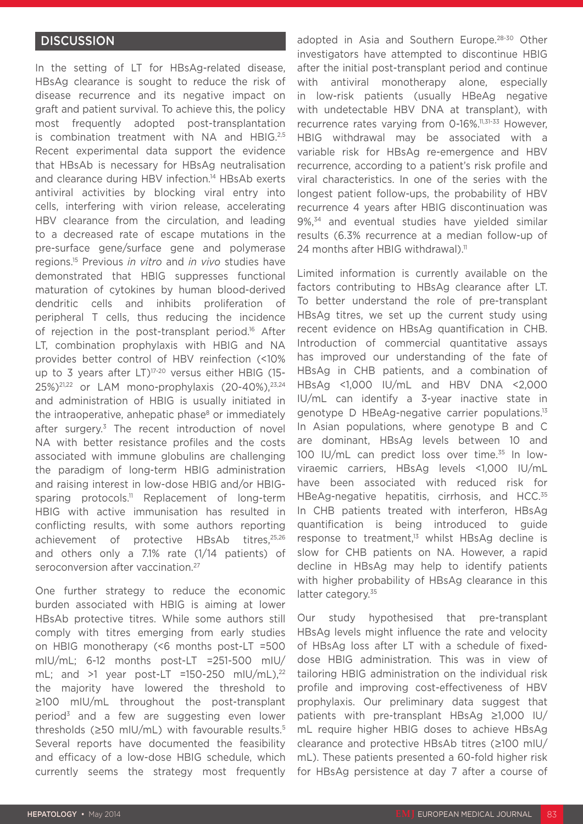## **DISCUSSION**

In the setting of LT for HBsAg-related disease, HBsAg clearance is sought to reduce the risk of disease recurrence and its negative impact on graft and patient survival. To achieve this, the policy most frequently adopted post-transplantation is combination treatment with NA and HBIG.<sup>2,5</sup> Recent experimental data support the evidence that HBsAb is necessary for HBsAg neutralisation and clearance during HBV infection.<sup>14</sup> HBsAb exerts antiviral activities by blocking viral entry into cells, interfering with virion release, accelerating HBV clearance from the circulation, and leading to a decreased rate of escape mutations in the pre-surface gene/surface gene and polymerase regions.15 Previous *in vitro* and *in vivo* studies have demonstrated that HBIG suppresses functional maturation of cytokines by human blood-derived dendritic cells and inhibits proliferation of peripheral T cells, thus reducing the incidence of rejection in the post-transplant period.<sup>16</sup> After LT, combination prophylaxis with HBIG and NA provides better control of HBV reinfection (<10% up to 3 years after LT)<sup>17-20</sup> versus either HBIG (15-25%)21,22 or LAM mono-prophylaxis (20-40%),23,24 and administration of HBIG is usually initiated in the intraoperative, anhepatic phase<sup>8</sup> or immediately after surgery.<sup>3</sup> The recent introduction of novel NA with better resistance profiles and the costs associated with immune globulins are challenging the paradigm of long-term HBIG administration and raising interest in low-dose HBIG and/or HBIGsparing protocols.<sup>11</sup> Replacement of long-term HBIG with active immunisation has resulted in conflicting results, with some authors reporting achievement of protective HBsAb titres,<sup>25,26</sup> and others only a 7.1% rate (1/14 patients) of seroconversion after vaccination.<sup>27</sup>

One further strategy to reduce the economic burden associated with HBIG is aiming at lower HBsAb protective titres. While some authors still comply with titres emerging from early studies on HBIG monotherapy (<6 months post-LT =500 mIU/mL; 6-12 months post-LT =251-500 mIU/ mL; and  $>1$  year post-LT =150-250 mIU/mL),<sup>22</sup> the majority have lowered the threshold to ≥100 mIU/mL throughout the post-transplant period<sup>3</sup> and a few are suggesting even lower thresholds ( $\geq$ 50 mIU/mL) with favourable results.<sup>5</sup> Several reports have documented the feasibility and efficacy of a low-dose HBIG schedule, which currently seems the strategy most frequently adopted in Asia and Southern Europe.28-30 Other investigators have attempted to discontinue HBIG after the initial post-transplant period and continue with antiviral monotherapy alone, especially in low-risk patients (usually HBeAg negative with undetectable HBV DNA at transplant), with recurrence rates varying from 0-16%.11,31-33 However, HBIG withdrawal may be associated with a variable risk for HBsAg re-emergence and HBV recurrence, according to a patient's risk profile and viral characteristics. In one of the series with the longest patient follow-ups, the probability of HBV recurrence 4 years after HBIG discontinuation was 9%,<sup>34</sup> and eventual studies have yielded similar results (6.3% recurrence at a median follow-up of 24 months after HBIG withdrawal).<sup>11</sup>

Limited information is currently available on the factors contributing to HBsAg clearance after LT. To better understand the role of pre-transplant HBsAg titres, we set up the current study using recent evidence on HBsAg quantification in CHB. Introduction of commercial quantitative assays has improved our understanding of the fate of HBsAg in CHB patients, and a combination of HBsAg <1,000 IU/mL and HBV DNA <2,000 IU/mL can identify a 3-year inactive state in genotype D HBeAg-negative carrier populations.<sup>13</sup> In Asian populations, where genotype B and C are dominant, HBsAg levels between 10 and 100 IU/mL can predict loss over time.35 In lowviraemic carriers, HBsAg levels <1,000 IU/mL have been associated with reduced risk for HBeAg-negative hepatitis, cirrhosis, and HCC.<sup>35</sup> In CHB patients treated with interferon, HBsAg quantification is being introduced to guide response to treatment,<sup>13</sup> whilst HBsAg decline is slow for CHB patients on NA. However, a rapid decline in HBsAg may help to identify patients with higher probability of HBsAg clearance in this latter category.<sup>35</sup>

Our study hypothesised that pre-transplant HBsAg levels might influence the rate and velocity of HBsAg loss after LT with a schedule of fixeddose HBIG administration. This was in view of tailoring HBIG administration on the individual risk profile and improving cost-effectiveness of HBV prophylaxis. Our preliminary data suggest that patients with pre-transplant HBsAg ≥1,000 IU/ mL require higher HBIG doses to achieve HBsAg clearance and protective HBsAb titres (≥100 mIU/ mL). These patients presented a 60-fold higher risk for HBsAg persistence at day 7 after a course of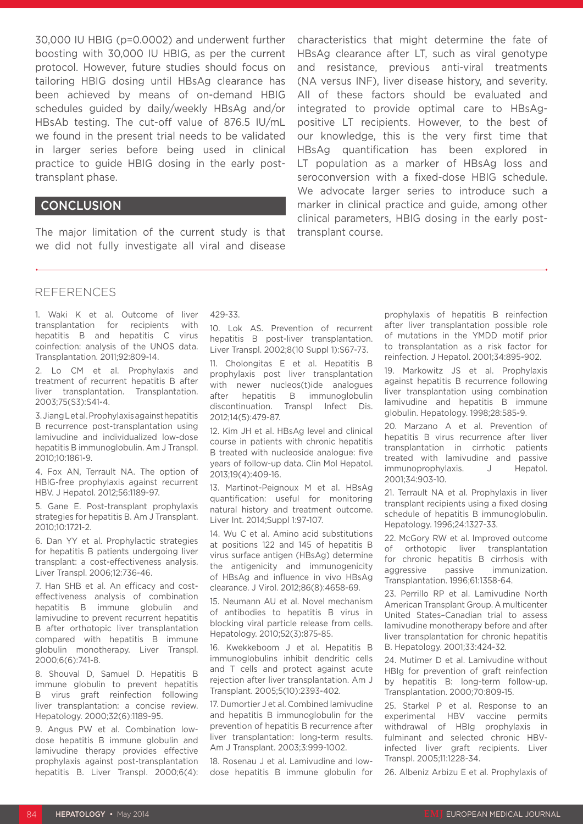30,000 IU HBIG (p=0.0002) and underwent further boosting with 30,000 IU HBIG, as per the current protocol. However, future studies should focus on tailoring HBIG dosing until HBsAg clearance has been achieved by means of on-demand HBIG schedules guided by daily/weekly HBsAg and/or HBsAb testing. The cut-off value of 876.5 IU/mL we found in the present trial needs to be validated in larger series before being used in clinical practice to guide HBIG dosing in the early posttransplant phase.

#### **CONCLUSION**

The major limitation of the current study is that we did not fully investigate all viral and disease

characteristics that might determine the fate of HBsAg clearance after LT, such as viral genotype and resistance, previous anti-viral treatments (NA versus INF), liver disease history, and severity. All of these factors should be evaluated and integrated to provide optimal care to HBsAgpositive LT recipients. However, to the best of our knowledge, this is the very first time that HBsAg quantification has been explored in LT population as a marker of HBsAg loss and seroconversion with a fixed-dose HBIG schedule. We advocate larger series to introduce such a marker in clinical practice and guide, among other clinical parameters, HBIG dosing in the early posttransplant course.

#### REFERENCES

1. Waki K et al. Outcome of liver transplantation for recipients with hepatitis B and hepatitis C virus coinfection: analysis of the UNOS data. Transplantation. 2011;92:809-14.

2. Lo CM et al. Prophylaxis and treatment of recurrent hepatitis B after liver transplantation. Transplantation. 2003;75(S3):S41-4.

3. Jiang L et al. Prophylaxis against hepatitis B recurrence post-transplantation using lamivudine and individualized low-dose hepatitis B immunoglobulin. Am J Transpl. 2010;10:1861-9.

4. Fox AN, Terrault NA. The option of HBIG-free prophylaxis against recurrent HBV. J Hepatol. 2012;56:1189-97.

5. Gane E. Post-transplant prophylaxis strategies for hepatitis B. Am J Transplant. 2010;10:1721-2.

6. Dan YY et al. Prophylactic strategies for hepatitis B patients undergoing liver transplant: a cost-effectiveness analysis. Liver Transpl. 2006;12:736-46.

7. Han SHB et al. An efficacy and costeffectiveness analysis of combination hepatitis B immune globulin and lamivudine to prevent recurrent hepatitis B after orthotopic liver transplantation compared with hepatitis B immune globulin monotherapy. Liver Transpl. 2000;6(6):741-8.

8. Shouval D, Samuel D. Hepatitis B immune globulin to prevent hepatitis B virus graft reinfection following liver transplantation: a concise review. Hepatology. 2000;32(6):1189-95.

9. Angus PW et al. Combination lowdose hepatitis B immune globulin and lamivudine therapy provides effective prophylaxis against post-transplantation hepatitis B. Liver Transpl. 2000:6(4):

#### 429-33.

10. Lok AS. Prevention of recurrent hepatitis B post-liver transplantation. Liver Transpl. 2002;8(10 Suppl 1):S67-73.

11. Cholongitas E et al. Hepatitis B prophylaxis post liver transplantation with newer nucleos(t)ide analogues after hepatitis B immunoglobulin discontinuation. Transpl Infect Dis. 2012;14(5):479-87.

12. Kim JH et al. HBsAg level and clinical course in patients with chronic hepatitis B treated with nucleoside analogue: five years of follow-up data. Clin Mol Hepatol. 2013;19(4):409-16.

13. Martinot-Peignoux M et al. HBsAg quantification: useful for monitoring natural history and treatment outcome. Liver Int. 2014;Suppl 1:97-107.

14. Wu C et al. Amino acid substitutions at positions 122 and 145 of hepatitis B virus surface antigen (HBsAg) determine the antigenicity and immunogenicity of HBsAg and influence in vivo HBsAg clearance. J Virol. 2012;86(8):4658-69.

15. Neumann AU et al. Novel mechanism of antibodies to hepatitis B virus in blocking viral particle release from cells. Hepatology. 2010;52(3):875-85.

16. Kwekkeboom J et al. Hepatitis B immunoglobulins inhibit dendritic cells and T cells and protect against acute rejection after liver transplantation. Am J Transplant. 2005;5(10):2393-402.

17. Dumortier J et al. Combined lamivudine and hepatitis B immunoglobulin for the prevention of hepatitis B recurrence after liver transplantation: long-term results. Am J Transplant. 2003;3:999-1002.

18. Rosenau J et al. Lamivudine and lowdose hepatitis B immune globulin for

prophylaxis of hepatitis B reinfection after liver transplantation possible role of mutations in the YMDD motif prior to transplantation as a risk factor for reinfection. J Hepatol. 2001;34:895-902.

19. Markowitz JS et al. Prophylaxis against hepatitis B recurrence following liver transplantation using combination lamivudine and hepatitis B immune globulin. Hepatology. 1998;28:585-9.

20. Marzano A et al. Prevention of hepatitis B virus recurrence after liver transplantation in cirrhotic patients treated with lamivudine and passive immunoprophylaxis. J Hepatol. 2001;34:903-10.

21. Terrault NA et al. Prophylaxis in liver transplant recipients using a fixed dosing schedule of hepatitis B immunoglobulin. Hepatology. 1996;24:1327-33.

22. McGory RW et al. Improved outcome of orthotopic liver transplantation for chronic hepatitis B cirrhosis with aggressive passive immunization. Transplantation. 1996;61:1358-64.

23. Perrillo RP et al. Lamivudine North American Transplant Group. A multicenter United States–Canadian trial to assess lamivudine monotherapy before and after liver transplantation for chronic hepatitis B. Hepatology. 2001;33:424-32.

24. Mutimer D et al. Lamivudine without HBIg for prevention of graft reinfection by hepatitis B: long-term follow-up. Transplantation. 2000;70:809-15.

25. Starkel P et al. Response to an experimental HBV vaccine permits withdrawal of HBIg prophylaxis in fulminant and selected chronic HBVinfected liver graft recipients. Liver Transpl. 2005;11:1228-34.

26. Albeniz Arbizu E et al. Prophylaxis of